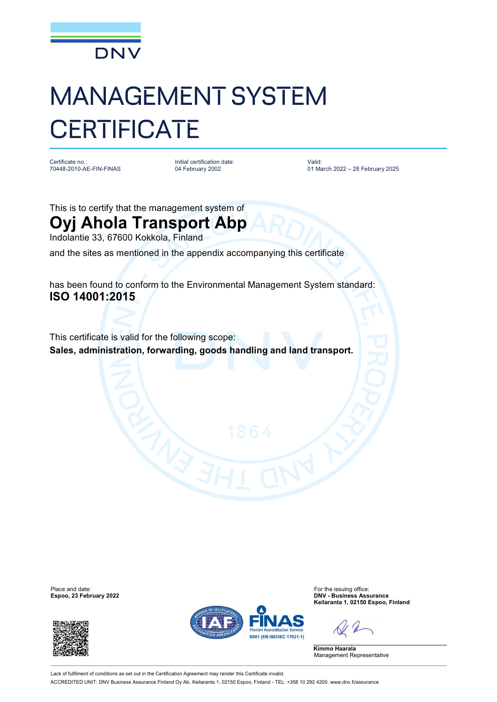

## MANAGEMENT SYSTEM **CERTIFICATE**

Certificate no.: 70448-2010-AE-FIN-FINAS

Initial certification date: 04 February 2002

Valid: 01 March 2022 – 28 February 2025

This is to certify that the management system of

## **Oyj Ahola Transport Abp**

Indolantie 33, 67600 Kokkola, Finland

and the sites as mentioned in the appendix accompanying this certificate

has been found to conform to the Environmental Management System standard: **ISO 14001:2015**

This certificate is valid for the following scope: **Sales, administration, forwarding, goods handling and land transport.**

**Espoo, 23 February 2022** 





Place and date:<br> **Expoo, 23 February 2022 Expool 22 Expool 23 For the issuing office:**<br> **Expoo, 23 February 2022 Keilaranta 1, 02150 Espoo, Finland**

**Kimmo Haarala** Management Representative

Lack of fulfilment of conditions as set out in the Certification Agreement may render this Certificate invalid. ACCREDITED UNIT: DNV Business Assurance Finland Oy Ab, Keilaranta 1, 02150 Espoo, Finland - TEL: +358 10 292 4200. [www.dnv.fi/assurance](http://www.dnv.fi/assurance)